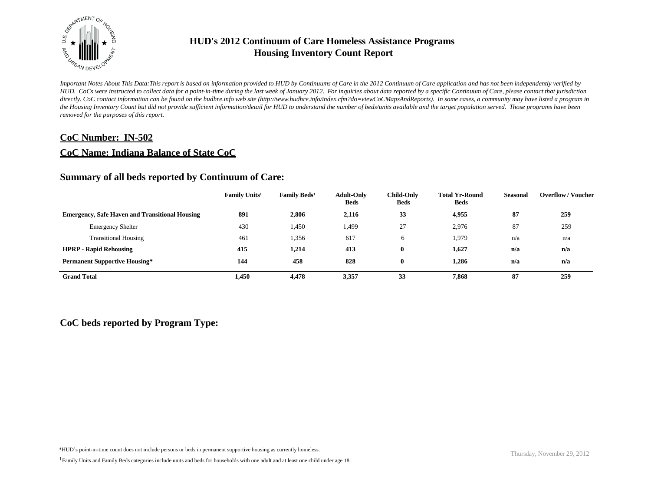

*Important Notes About This Data:This report is based on information provided to HUD by Continuums of Care in the 2012 Continuum of Care application and has not been independently verified by HUD. CoCs were instructed to collect data for a point-in-time during the last week of January 2012. For inquiries about data reported by a specific Continuum of Care, please contact that jurisdiction*  directly. CoC contact information can be found on the hudhre.info web site (http://www.hudhre.info/index.cfm?do=viewCoCMapsAndReports). In some cases, a community may have listed a program in *the Housing Inventory Count but did not provide sufficient information/detail for HUD to understand the number of beds/units available and the target population served. Those programs have been removed for the purposes of this report.*

## **CoC Number: IN-502**

## **CoC Name: Indiana Balance of State CoC**

## **Summary of all beds reported by Continuum of Care:**

|                                                       | Family Units <sup>1</sup> | Family Beds <sup>1</sup> | <b>Adult-Only</b><br><b>Beds</b> | <b>Child-Only</b><br><b>Beds</b> | <b>Total Yr-Round</b><br><b>Beds</b> | <b>Seasonal</b> | <b>Overflow / Voucher</b> |
|-------------------------------------------------------|---------------------------|--------------------------|----------------------------------|----------------------------------|--------------------------------------|-----------------|---------------------------|
| <b>Emergency, Safe Haven and Transitional Housing</b> | 891                       | 2,806                    | 2,116                            | 33                               | 4,955                                | 87              | 259                       |
| <b>Emergency Shelter</b>                              | 430                       | 1,450                    | 1,499                            | 27                               | 2,976                                | 87              | 259                       |
| <b>Transitional Housing</b>                           | 461                       | 1,356                    | 617                              | 6                                | 1,979                                | n/a             | n/a                       |
| <b>HPRP - Rapid Rehousing</b>                         | 415                       | 1,214                    | 413                              | $\mathbf{0}$                     | 1,627                                | n/a             | n/a                       |
| <b>Permanent Supportive Housing*</b>                  | 144                       | 458                      | 828                              | $\mathbf{0}$                     | 1,286                                | n/a             | n/a                       |
| <b>Grand Total</b>                                    | 1,450                     | 4,478                    | 3,357                            | 33                               | 7,868                                | 87              | 259                       |

## **CoC beds reported by Program Type:**

\*HUD's point-in-time count does not include persons or beds in permanent supportive housing as currently homeless.<br>
Thursday, November 29, 2012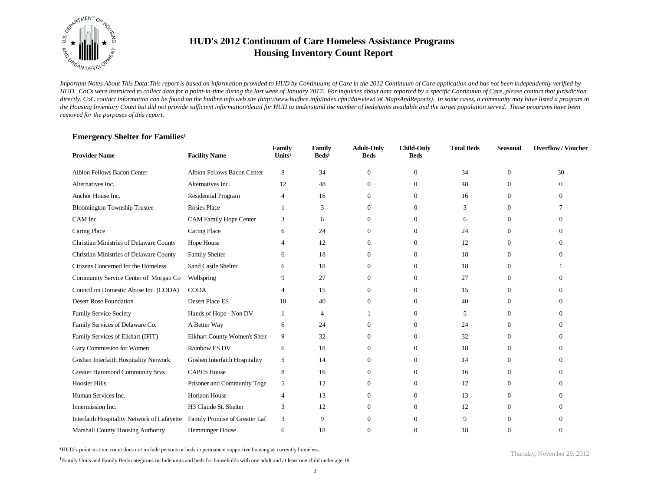

*Important Notes About This Data:This report is based on information provided to HUD by Continuums of Care in the 2012 Continuum of Care application and has not been independently verified by HUD. CoCs were instructed to collect data for a point-in-time during the last week of January 2012. For inquiries about data reported by a specific Continuum of Care, please contact that jurisdiction*  directly. CoC contact information can be found on the hudhre.info web site (http://www.hudhre.info/index.cfm?do=viewCoCMapsAndReports). In some cases, a community may have listed a program in *the Housing Inventory Count but did not provide sufficient information/detail for HUD to understand the number of beds/units available and the target population served. Those programs have been removed for the purposes of this report.*

### **Emergency Shelter for Families<sup>1</sup>**

| <b>Provider Name</b>                        | <b>Facility Name</b>               | Family<br>Units <sup>1</sup> | Family<br>$\text{Beds}^1$ | <b>Adult-Only</b><br><b>Beds</b> | <b>Child-Only</b><br><b>Beds</b> | <b>Total Beds</b> | <b>Seasonal</b> | <b>Overflow/Voucher</b> |
|---------------------------------------------|------------------------------------|------------------------------|---------------------------|----------------------------------|----------------------------------|-------------------|-----------------|-------------------------|
| <b>Albion Fellows Bacon Center</b>          | <b>Albion Fellows Bacon Center</b> | 8                            | 34                        | $\overline{0}$                   | $\mathbf{0}$                     | 34                | $\overline{0}$  | 30                      |
| Alternatives Inc.                           | Alternatives Inc.                  | 12                           | 48                        | $\overline{0}$                   | $\Omega$                         | 48                | $\Omega$        | 0                       |
| Anchor House Inc.                           | <b>Residential Program</b>         | $\overline{4}$               | 16                        | $\Omega$                         | $\Omega$                         | 16                | $\Omega$        | $\Omega$                |
| <b>Bloomington Township Trustee</b>         | <b>Rosies Place</b>                |                              | 3                         | $\Omega$                         | $\Omega$                         | 3                 | $\Omega$        |                         |
| CAM Inc                                     | <b>CAM Family Hope Center</b>      | 3                            | 6                         | $\Omega$                         | $\Omega$                         | 6                 | $\Omega$        | 0                       |
| Caring Place                                | Caring Place                       | 6                            | 24                        | $\Omega$                         | $\Omega$                         | 24                | $\Omega$        | ∩                       |
| Christian Ministries of Delaware County     | Hope House                         | $\boldsymbol{\varDelta}$     | 12                        | 0                                | $\Omega$                         | 12                | $\Omega$        | 0                       |
| Christian Ministries of Delaware County     | <b>Family Shelter</b>              | 6                            | 18                        | 0                                | $\Omega$                         | 18                | $\Omega$        | ∩                       |
| Citizens Concerned for the Homeless         | <b>Sand Castle Shelter</b>         | 6                            | 18                        | $\Omega$                         | $\Omega$                         | 18                | $\Omega$        |                         |
| Community Service Center of Morgan Co       | Wellspring                         | 9                            | 27                        | $\overline{0}$                   | $\Omega$                         | 27                | $\overline{0}$  | ∩                       |
| Council on Domestic Abuse Inc. (CODA)       | <b>CODA</b>                        |                              | 15                        | $\Omega$                         | $\Omega$                         | 15                | $\Omega$        | 0                       |
| <b>Desert Rose Foundation</b>               | <b>Desert Place ES</b>             | 10                           | 40                        | $\overline{0}$                   | $\Omega$                         | 40                | $\overline{0}$  | ∩                       |
| <b>Family Service Society</b>               | Hands of Hope - Non DV             |                              | 4                         |                                  | $\Omega$                         | 5                 | $\overline{0}$  | $\Omega$                |
| Family Services of Delaware Co.             | A Better Way                       | 6                            | 24                        | $\Omega$                         | $\Omega$                         | 24                | $\Omega$        |                         |
| Family Services of Elkhart (IFIT)           | Elkhart County Women's Shelt       | 9                            | 32                        | $\overline{0}$                   | $\Omega$                         | 32                | $\overline{0}$  | ∩                       |
| Gary Commission for Women                   | Rainbow ES DV                      | 6                            | 18                        | $\overline{0}$                   | $\Omega$                         | 18                | $\overline{0}$  |                         |
| Goshen Interfaith Hospitality Network       | Goshen Interfaith Hospitality      | 5                            | 14                        | $\overline{0}$                   | $\Omega$                         | 14                | $\Omega$        | ∩                       |
| <b>Greater Hammond Community Srvs</b>       | <b>CAPES House</b>                 | 8                            | 16                        | $\overline{0}$                   | $\mathbf{0}$                     | 16                | $\overline{0}$  |                         |
| <b>Hoosier Hills</b>                        | Prisoner and Community Toge        | 5                            | 12                        | $\overline{0}$                   | $\Omega$                         | 12                | $\Omega$        | $\Omega$                |
| Human Services Inc.                         | <b>Horizon House</b>               | $\overline{4}$               | 13                        | $\overline{0}$                   | $\Omega$                         | 13                | $\overline{0}$  |                         |
| Innermission Inc.                           | H3 Claude St. Shelter              | 3                            | 12                        | $\overline{0}$                   | $\Omega$                         | 12                | $\Omega$        |                         |
| Interfaith Hospitality Network of Lafayette | Family Promise of Greater Laf      | 3                            | 9                         | $\Omega$                         | $\Omega$                         | 9                 | $\Omega$        |                         |
| <b>Marshall County Housing Authority</b>    | <b>Hemminger House</b>             | 6                            | 18                        | 0                                | $\Omega$                         | 18                | $\Omega$        | $\Omega$                |

\*HUD's point-in-time count does not include persons or beds in permanent supportive housing as currently homeless.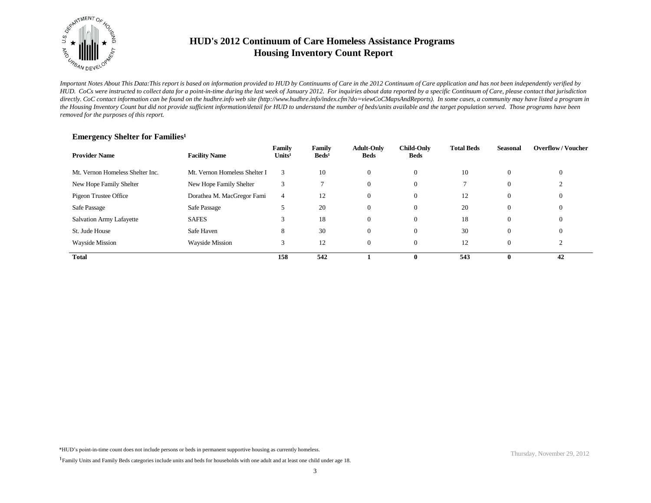

*Important Notes About This Data:This report is based on information provided to HUD by Continuums of Care in the 2012 Continuum of Care application and has not been independently verified by HUD. CoCs were instructed to collect data for a point-in-time during the last week of January 2012. For inquiries about data reported by a specific Continuum of Care, please contact that jurisdiction*  directly. CoC contact information can be found on the hudhre.info web site (http://www.hudhre.info/index.cfm?do=viewCoCMapsAndReports). In some cases, a community may have listed a program in *the Housing Inventory Count but did not provide sufficient information/detail for HUD to understand the number of beds/units available and the target population served. Those programs have been removed for the purposes of this report.*

| <b>Provider Name</b>             | <b>Facility Name</b>          | Family<br>Units <sup>1</sup> | Family<br>$\text{Beds}^1$ | <b>Adult-Only</b><br><b>Beds</b> | <b>Child-Only</b><br><b>Beds</b> | <b>Total Beds</b> | Seasonal       | <b>Overflow/Voucher</b> |
|----------------------------------|-------------------------------|------------------------------|---------------------------|----------------------------------|----------------------------------|-------------------|----------------|-------------------------|
| Mt. Vernon Homeless Shelter Inc. | Mt. Vernon Homeless Shelter I | 3                            | 10                        | $\Omega$                         | $\overline{0}$                   | 10                | $\Omega$       | $\theta$                |
| New Hope Family Shelter          | New Hope Family Shelter       | 3                            |                           | 0                                | $\overline{0}$                   |                   | $\theta$       |                         |
| Pigeon Trustee Office            | Dorathea M. MacGregor Fami    | 4                            | 12                        | $\theta$                         | $\overline{0}$                   | 12                | $\overline{0}$ | $\theta$                |
| Safe Passage                     | Safe Passage                  | 5                            | 20                        | $\Omega$                         | $\overline{0}$                   | 20                | $\theta$       | $\theta$                |
| Salvation Army Lafayette         | <b>SAFES</b>                  | 3                            | 18                        | $\Omega$                         | $\overline{0}$                   | 18                | $\theta$       | $\theta$                |
| St. Jude House                   | Safe Haven                    | 8                            | 30                        | $\overline{0}$                   | $\overline{0}$                   | 30                | $\overline{0}$ | $\theta$                |
| <b>Wayside Mission</b>           | <b>Wayside Mission</b>        | 3                            | 12                        | $\Omega$                         |                                  | 12                | $\Omega$       | ◠                       |
| <b>Total</b>                     |                               | 158                          | 542                       |                                  | $\mathbf{0}$                     | 543               | 0              | 42                      |

### **Emergency Shelter for Families<sup>1</sup>**

<sup>&</sup>lt;sup>1</sup>Family Units and Family Beds categories include units and beds for households with one adult and at least one child under age 18.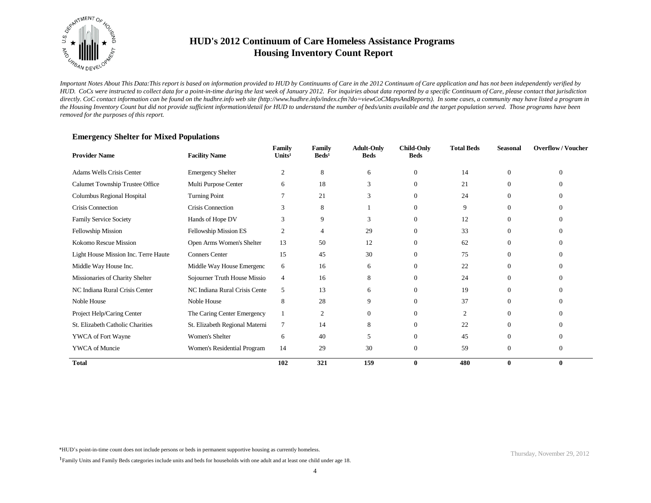

*Important Notes About This Data:This report is based on information provided to HUD by Continuums of Care in the 2012 Continuum of Care application and has not been independently verified by HUD. CoCs were instructed to collect data for a point-in-time during the last week of January 2012. For inquiries about data reported by a specific Continuum of Care, please contact that jurisdiction*  directly. CoC contact information can be found on the hudhre.info web site (http://www.hudhre.info/index.cfm?do=viewCoCMapsAndReports). In some cases, a community may have listed a program in *the Housing Inventory Count but did not provide sufficient information/detail for HUD to understand the number of beds/units available and the target population served. Those programs have been removed for the purposes of this report.*

### **Emergency Shelter for Mixed Populations**

| <b>Provider Name</b>                 | <b>Facility Name</b>           | Family<br>Units <sup>1</sup> | Family<br>$\text{Beds}^1$ | <b>Adult-Only</b><br><b>Beds</b> | <b>Child-Only</b><br><b>Beds</b> | <b>Total Beds</b> | <b>Seasonal</b> | <b>Overflow/Voucher</b> |
|--------------------------------------|--------------------------------|------------------------------|---------------------------|----------------------------------|----------------------------------|-------------------|-----------------|-------------------------|
| Adams Wells Crisis Center            | <b>Emergency Shelter</b>       | 2                            | 8                         | 6                                | $\overline{0}$                   | 14                | $\Omega$        | $\theta$                |
| Calumet Township Trustee Office      | Multi Purpose Center           | 6                            | 18                        | 3                                | $\Omega$                         | 21                | $\Omega$        | $\Omega$                |
| Columbus Regional Hospital           | <b>Turning Point</b>           |                              | 21                        | 3                                | $\Omega$                         | 24                | $\Omega$        | $\Omega$                |
| <b>Crisis Connection</b>             | Crisis Connection              | 3                            | 8                         |                                  | $\Omega$                         | 9                 | $\Omega$        | $\Omega$                |
| <b>Family Service Society</b>        | Hands of Hope DV               | 3                            | 9                         | 3                                | $\overline{0}$                   | 12                | $\Omega$        | $\Omega$                |
| Fellowship Mission                   | Fellowship Mission ES          | 2                            | $\overline{4}$            | 29                               | $\overline{0}$                   | 33                | $\Omega$        | $\Omega$                |
| Kokomo Rescue Mission                | Open Arms Women's Shelter      | 13                           | 50                        | 12                               | $\theta$                         | 62                | $\Omega$        | $\Omega$                |
| Light House Mission Inc. Terre Haute | <b>Conners Center</b>          | 15                           | 45                        | 30                               | $\theta$                         | 75                | $\Omega$        | $\Omega$                |
| Middle Way House Inc.                | Middle Way House Emergenc      | 6                            | 16                        | 6                                | $\theta$                         | 22                | $\Omega$        | $\Omega$                |
| Missionaries of Charity Shelter      | Sojourner Truth House Missio   | $\overline{4}$               | 16                        | 8                                | $\mathbf{0}$                     | 24                | $\Omega$        | $\Omega$                |
| NC Indiana Rural Crisis Center       | NC Indiana Rural Crisis Cente  | 5                            | 13                        | 6                                | $\theta$                         | 19                | $\Omega$        | $\Omega$                |
| Noble House                          | Noble House                    | 8                            | 28                        | 9                                | $\theta$                         | 37                | $\Omega$        | $\Omega$                |
| Project Help/Caring Center           | The Caring Center Emergency    |                              | $\mathfrak{2}$            | $\Omega$                         | $\theta$                         | 2                 | $\Omega$        | $\Omega$                |
| St. Elizabeth Catholic Charities     | St. Elizabeth Regional Materni | $\tau$                       | 14                        | 8                                | $\mathbf{0}$                     | 22                | $\Omega$        | $\Omega$                |
| YWCA of Fort Wayne                   | Women's Shelter                | 6                            | 40                        | 5                                | $\overline{0}$                   | 45                | $\Omega$        | $\Omega$                |
| YWCA of Muncie                       | Women's Residential Program    | 14                           | 29                        | 30                               | $\mathbf{0}$                     | 59                | $\Omega$        | $\Omega$                |
| <b>Total</b>                         |                                | 102                          | 321                       | 159                              | $\bf{0}$                         | 480               | $\mathbf{0}$    | $\bf{0}$                |

\*HUD's point-in-time count does not include persons or beds in permanent supportive housing as currently homeless.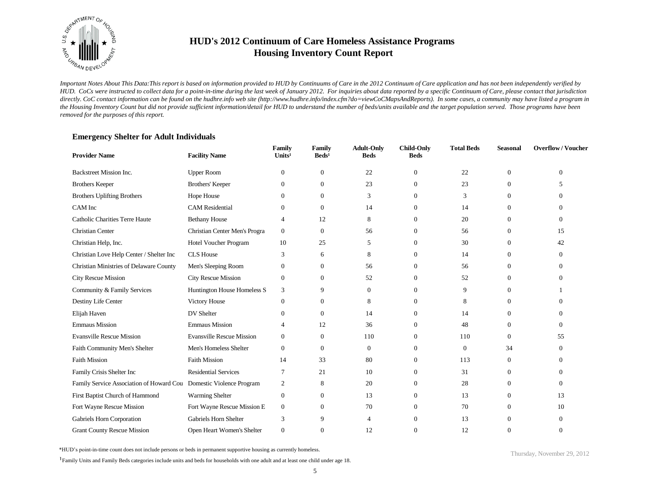

*Important Notes About This Data:This report is based on information provided to HUD by Continuums of Care in the 2012 Continuum of Care application and has not been independently verified by HUD. CoCs were instructed to collect data for a point-in-time during the last week of January 2012. For inquiries about data reported by a specific Continuum of Care, please contact that jurisdiction*  directly. CoC contact information can be found on the hudhre.info web site (http://www.hudhre.info/index.cfm?do=viewCoCMapsAndReports). In some cases, a community may have listed a program in *the Housing Inventory Count but did not provide sufficient information/detail for HUD to understand the number of beds/units available and the target population served. Those programs have been removed for the purposes of this report.*

| <b>Provider Name</b>                                               | <b>Facility Name</b>             | Family<br>Units <sup>1</sup> | Family<br>$\text{Beds}^1$ | <b>Adult-Only</b><br><b>Beds</b> | <b>Child-Only</b><br><b>Beds</b> | <b>Total Beds</b> | <b>Seasonal</b>  | <b>Overflow/Voucher</b> |
|--------------------------------------------------------------------|----------------------------------|------------------------------|---------------------------|----------------------------------|----------------------------------|-------------------|------------------|-------------------------|
| Backstreet Mission Inc.                                            | <b>Upper Room</b>                | $\overline{0}$               | $\mathbf{0}$              | 22                               | $\mathbf{0}$                     | 22                | $\mathbf{0}$     | $\Omega$                |
| <b>Brothers Keeper</b>                                             | <b>Brothers' Keeper</b>          | $\theta$                     | $\mathbf{0}$              | 23                               | $\Omega$                         | 23                | $\overline{0}$   | 5                       |
| <b>Brothers Uplifting Brothers</b>                                 | Hope House                       | $\Omega$                     | $\mathbf{0}$              | 3                                | $\Omega$                         | 3                 | $\theta$         | 0                       |
| CAM Inc                                                            | <b>CAM</b> Residential           | $\theta$                     | $\mathbf{0}$              | 14                               | $\mathbf{0}$                     | 14                | $\overline{0}$   | 0                       |
| Catholic Charities Terre Haute                                     | <b>Bethany House</b>             | 4                            | 12                        | 8                                | $\Omega$                         | 20                | $\theta$         | 0                       |
| Christian Center                                                   | Christian Center Men's Progra    | $\boldsymbol{0}$             | $\mathbf{0}$              | 56                               | $\theta$                         | 56                | $\boldsymbol{0}$ | 15                      |
| Christian Help, Inc.                                               | Hotel Voucher Program            | 10                           | 25                        | 5                                | $\Omega$                         | 30                | $\overline{0}$   | 42                      |
| Christian Love Help Center / Shelter Inc                           | <b>CLS</b> House                 | 3                            | 6                         | 8                                | $\Omega$                         | 14                | $\overline{0}$   | 0                       |
| Christian Ministries of Delaware County                            | Men's Sleeping Room              | $\theta$                     | $\mathbf{0}$              | 56                               | $\Omega$                         | 56                | $\boldsymbol{0}$ | 0                       |
| <b>City Rescue Mission</b>                                         | <b>City Rescue Mission</b>       | $\theta$                     | $\mathbf{0}$              | 52                               | $\Omega$                         | 52                | $\overline{0}$   | 0                       |
| Community & Family Services                                        | Huntington House Homeless S      | 3                            | 9                         | $\overline{0}$                   | $\Omega$                         | 9                 | $\overline{0}$   |                         |
| Destiny Life Center                                                | Victory House                    | $\mathbf{0}$                 | $\mathbf{0}$              | 8                                | $\mathbf{0}$                     | 8                 | 0                | 0                       |
| Elijah Haven                                                       | DV Shelter                       | $\Omega$                     | $\Omega$                  | 14                               | $\Omega$                         | 14                | $\Omega$         | 0                       |
| <b>Emmaus Mission</b>                                              | <b>Emmaus Mission</b>            | Δ                            | 12                        | 36                               | $\mathbf{0}$                     | 48                | $\theta$         | 0                       |
| <b>Evansville Rescue Mission</b>                                   | <b>Evansville Rescue Mission</b> | $\mathbf{0}$                 | $\mathbf{0}$              | 110                              | $\Omega$                         | 110               | $\Omega$         | 55                      |
| Faith Community Men's Shelter                                      | Men's Homeless Shelter           | $\Omega$                     | $\mathbf{0}$              | $\overline{0}$                   | $\Omega$                         | $\mathbf{0}$      | 34               | 0                       |
| <b>Faith Mission</b>                                               | <b>Faith Mission</b>             | 14                           | 33                        | 80                               | $\Omega$                         | 113               | $\overline{0}$   | 0                       |
| Family Crisis Shelter Inc                                          | <b>Residential Services</b>      | $\overline{7}$               | 21                        | 10                               | $\Omega$                         | 31                | $\mathbf{0}$     | $\Omega$                |
| Family Service Association of Howard Cou Domestic Violence Program |                                  | 2                            | 8                         | 20                               | $\Omega$                         | 28                | $\overline{0}$   | $\Omega$                |
| First Baptist Church of Hammond                                    | Warming Shelter                  | $\boldsymbol{0}$             | $\mathbf{0}$              | 13                               | $\mathbf{0}$                     | 13                | $\boldsymbol{0}$ | 13                      |
| Fort Wayne Rescue Mission                                          | Fort Wayne Rescue Mission E      | $\mathbf{0}$                 | $\Omega$                  | 70                               | $\Omega$                         | 70                | $\overline{0}$   | 10                      |
| Gabriels Horn Corporation                                          | Gabriels Horn Shelter            | 3                            | 9                         | $\overline{4}$                   | $\Omega$                         | 13                | $\mathbf{0}$     | 0                       |
| <b>Grant County Rescue Mission</b>                                 | Open Heart Women's Shelter       | $\mathbf{0}$                 | $\Omega$                  | 12                               | $\Omega$                         | 12                | $\Omega$         | $\Omega$                |

### **Emergency Shelter for Adult Individuals**

\*HUD's point-in-time count does not include persons or beds in permanent supportive housing as currently homeless.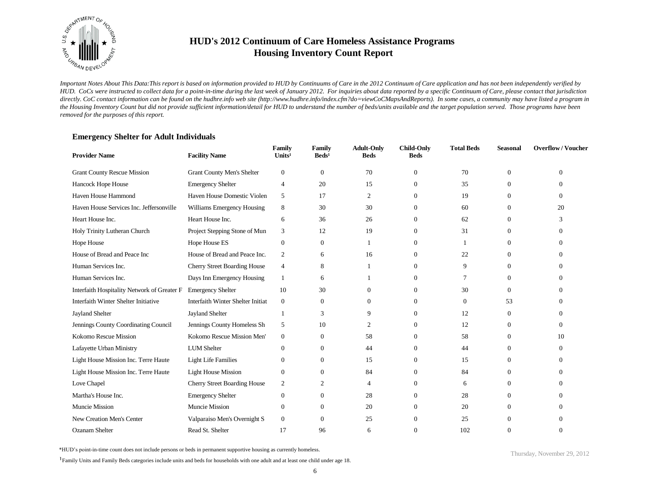

*Important Notes About This Data:This report is based on information provided to HUD by Continuums of Care in the 2012 Continuum of Care application and has not been independently verified by HUD. CoCs were instructed to collect data for a point-in-time during the last week of January 2012. For inquiries about data reported by a specific Continuum of Care, please contact that jurisdiction*  directly. CoC contact information can be found on the hudhre.info web site (http://www.hudhre.info/index.cfm?do=viewCoCMapsAndReports). In some cases, a community may have listed a program in *the Housing Inventory Count but did not provide sufficient information/detail for HUD to understand the number of beds/units available and the target population served. Those programs have been removed for the purposes of this report.*

### **Emergency Shelter for Adult Individuals**

| <b>Provider Name</b>                                          | <b>Facility Name</b>              | Family<br>Units <sup>1</sup> | Family<br>$\text{Beds}^1$ | <b>Adult-Only</b><br><b>Beds</b> | <b>Child-Only</b><br><b>Beds</b> | <b>Total Beds</b> | <b>Seasonal</b> | <b>Overflow/Voucher</b> |
|---------------------------------------------------------------|-----------------------------------|------------------------------|---------------------------|----------------------------------|----------------------------------|-------------------|-----------------|-------------------------|
| <b>Grant County Rescue Mission</b>                            | <b>Grant County Men's Shelter</b> | $\boldsymbol{0}$             | $\boldsymbol{0}$          | 70                               | $\mathbf{0}$                     | 70                | $\overline{0}$  | $\theta$                |
| Hancock Hope House                                            | <b>Emergency Shelter</b>          | $\overline{4}$               | 20                        | 15                               | $\mathbf{0}$                     | 35                | $\theta$        | 0                       |
| Haven House Hammond                                           | Haven House Domestic Violen       | 5                            | 17                        | $\overline{c}$                   | $\Omega$                         | 19                | $\Omega$        | $\Omega$                |
| Haven House Services Inc. Jeffersonville                      | Williams Emergency Housing        | 8                            | 30                        | 30                               | $\Omega$                         | 60                | $\Omega$        | 20                      |
| Heart House Inc.                                              | Heart House Inc.                  | 6                            | 36                        | 26                               | $\Omega$                         | 62                | $\Omega$        | 3                       |
| Holy Trinity Lutheran Church                                  | Project Stepping Stone of Mun     | 3                            | 12                        | 19                               | $\Omega$                         | 31                | $\Omega$        | 0                       |
| Hope House                                                    | Hope House ES                     | $\boldsymbol{0}$             | $\boldsymbol{0}$          |                                  | $\Omega$                         |                   | $\overline{0}$  | 0                       |
| House of Bread and Peace Inc                                  | House of Bread and Peace Inc.     | $\overline{2}$               | 6                         | 16                               | $\Omega$                         | 22                | $\Omega$        | 0                       |
| Human Services Inc.                                           | Cherry Street Boarding House      | $\overline{4}$               | 8                         |                                  | $\Omega$                         | 9                 | $\overline{0}$  | 0                       |
| Human Services Inc.                                           | Days Inn Emergency Housing        | $\overline{1}$               | 6                         |                                  | $\Omega$                         | 7                 | $\Omega$        | 0                       |
| Interfaith Hospitality Network of Greater F Emergency Shelter |                                   | 10                           | 30                        | $\overline{0}$                   | $\Omega$                         | 30                | $\Omega$        | 0                       |
| Interfaith Winter Shelter Initiative                          | Interfaith Winter Shelter Initiat | $\mathbf{0}$                 | $\mathbf{0}$              | $\overline{0}$                   | $\Omega$                         | $\Omega$          | 53              | 0                       |
| <b>Jayland Shelter</b>                                        | <b>Jayland Shelter</b>            |                              | 3                         | 9                                | $\Omega$                         | 12                | $\overline{0}$  | $\Omega$                |
| Jennings County Coordinating Council                          | Jennings County Homeless Sh       | 5                            | 10                        | 2                                | $\Omega$                         | 12                | $\overline{0}$  | 0                       |
| Kokomo Rescue Mission                                         | Kokomo Rescue Mission Men'        | $\mathbf{0}$                 | $\mathbf{0}$              | 58                               | $\Omega$                         | 58                | $\Omega$        | 10                      |
| Lafayette Urban Ministry                                      | <b>LUM</b> Shelter                | $\theta$                     | $\boldsymbol{0}$          | 44                               | $\Omega$                         | 44                | $\overline{0}$  | 0                       |
| Light House Mission Inc. Terre Haute                          | <b>Light Life Families</b>        | $\theta$                     | $\overline{0}$            | 15                               | $\Omega$                         | 15                | $\Omega$        | $\Omega$                |
| Light House Mission Inc. Terre Haute                          | <b>Light House Mission</b>        | $\theta$                     | $\mathbf{0}$              | 84                               | $\Omega$                         | 84                | $\overline{0}$  | $\Omega$                |
| Love Chapel                                                   | Cherry Street Boarding House      | 2                            | 2                         | 4                                | $\Omega$                         | 6                 | $\overline{0}$  | $\Omega$                |
| Martha's House Inc.                                           | <b>Emergency Shelter</b>          | $\boldsymbol{0}$             | $\mathbf{0}$              | 28                               | $\Omega$                         | 28                | $\overline{0}$  | $\Omega$                |
| Muncie Mission                                                | Muncie Mission                    | $\mathbf{0}$                 | $\overline{0}$            | 20                               | $\Omega$                         | 20                | $\theta$        | $\Omega$                |
| New Creation Men's Center                                     | Valparaiso Men's Overnight S      | $\mathbf{0}$                 | $\mathbf{0}$              | 25                               | $\Omega$                         | 25                | $\Omega$        | 0                       |
| <b>Ozanam Shelter</b>                                         | Read St. Shelter                  | 17                           | 96                        | 6                                | $\Omega$                         | 102               | $\Omega$        | $\Omega$                |

\*HUD's point-in-time count does not include persons or beds in permanent supportive housing as currently homeless.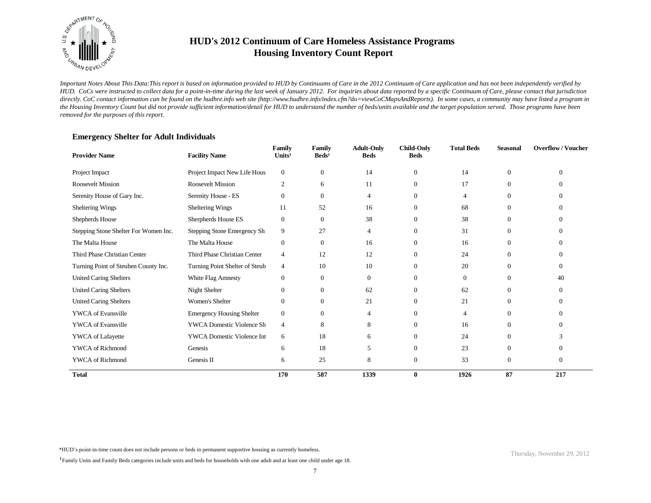

*Important Notes About This Data:This report is based on information provided to HUD by Continuums of Care in the 2012 Continuum of Care application and has not been independently verified by HUD. CoCs were instructed to collect data for a point-in-time during the last week of January 2012. For inquiries about data reported by a specific Continuum of Care, please contact that jurisdiction*  directly. CoC contact information can be found on the hudhre.info web site (http://www.hudhre.info/index.cfm?do=viewCoCMapsAndReports). In some cases, a community may have listed a program in *the Housing Inventory Count but did not provide sufficient information/detail for HUD to understand the number of beds/units available and the target population served. Those programs have been removed for the purposes of this report.*

| <b>Provider Name</b>                  | <b>Facility Name</b>             | Family<br>Units <sup>1</sup> | Family<br>$\text{Beds}^1$ | <b>Adult-Only</b><br><b>Beds</b> | <b>Child-Only</b><br><b>Beds</b> | <b>Total Beds</b> | <b>Seasonal</b> | <b>Overflow/Voucher</b> |
|---------------------------------------|----------------------------------|------------------------------|---------------------------|----------------------------------|----------------------------------|-------------------|-----------------|-------------------------|
| Project Impact                        | Project Impact New Life Hous     | $\mathbf{0}$                 | $\mathbf{0}$              | 14                               | $\mathbf{0}$                     | 14                | $\mathbf{0}$    | $\Omega$                |
| <b>Roosevelt Mission</b>              | Roosevelt Mission                | $\overline{2}$               | 6                         | 11                               | $\theta$                         | 17                | $\theta$        | $\theta$                |
| Serenity House of Gary Inc.           | Serenity House - ES              | $\theta$                     | $\mathbf{0}$              | 4                                | $\theta$                         | $\overline{4}$    | $\theta$        | $\Omega$                |
| Sheltering Wings                      | Sheltering Wings                 | 11                           | 52                        | 16                               | $\theta$                         | 68                | $\theta$        | $\Omega$                |
| Shepherds House                       | Sherpherds House ES              | $\boldsymbol{0}$             | $\mathbf{0}$              | 38                               | $\theta$                         | 38                | $\theta$        | $\Omega$                |
| Stepping Stone Shelter For Women Inc. | Stepping Stone Emergency Sh      | 9                            | 27                        | 4                                | $\mathbf{0}$                     | 31                | 0               | $\theta$                |
| The Malta House                       | The Malta House                  | $\mathbf{0}$                 | $\mathbf{0}$              | 16                               | $\overline{0}$                   | 16                | 0               | $\Omega$                |
| Third Phase Christian Center          | Third Phase Christian Center     | $\overline{4}$               | 12                        | 12                               | $\Omega$                         | 24                | 0               | $\Omega$                |
| Turning Point of Steuben County Inc.  | Turning Point Shelter of Steub   | $\overline{4}$               | 10                        | 10                               | $\Omega$                         | 20                | 0               | $\Omega$                |
| <b>United Caring Shelters</b>         | White Flag Amnesty               | $\boldsymbol{0}$             | $\mathbf{0}$              | $\overline{0}$                   | $\Omega$                         | $\Omega$          | $\theta$        | 40                      |
| <b>United Caring Shelters</b>         | Night Shelter                    | $\overline{0}$               | $\mathbf{0}$              | 62                               | $\Omega$                         | 62                | 0               | $\Omega$                |
| <b>United Caring Shelters</b>         | <b>Women's Shelter</b>           | $\theta$                     | $\overline{0}$            | 21                               | $\theta$                         | 21                | $\theta$        | $\theta$                |
| <b>YWCA</b> of Evansville             | <b>Emergency Housing Shelter</b> | $\mathbf{0}$                 | $\mathbf{0}$              | 4                                | $\Omega$                         | $\overline{4}$    | $\Omega$        | $\Omega$                |
| <b>YWCA</b> of Evansville             | <b>YWCA Domestic Violence Sh</b> | $\overline{4}$               | 8                         | 8                                | $\theta$                         | 16                | 0               | $\theta$                |
| YWCA of Lafayette                     | YWCA Domestic Violence Int       | 6                            | 18                        | 6                                | $\overline{0}$                   | 24                | 0               | 3                       |
| YWCA of Richmond                      | Genesis                          | 6                            | 18                        | 5                                | $\theta$                         | 23                | $\Omega$        | $\Omega$                |
| <b>YWCA</b> of Richmond               | Genesis II                       | 6                            | 25                        | 8                                | $\mathbf{0}$                     | 33                | $\mathbf{0}$    | $\overline{0}$          |
| <b>Total</b>                          |                                  | 170                          | 587                       | 1339                             | $\bf{0}$                         | 1926              | 87              | 217                     |

### **Emergency Shelter for Adult Individuals**

\*HUD's point-in-time count does not include persons or beds in permanent supportive housing as currently homeless.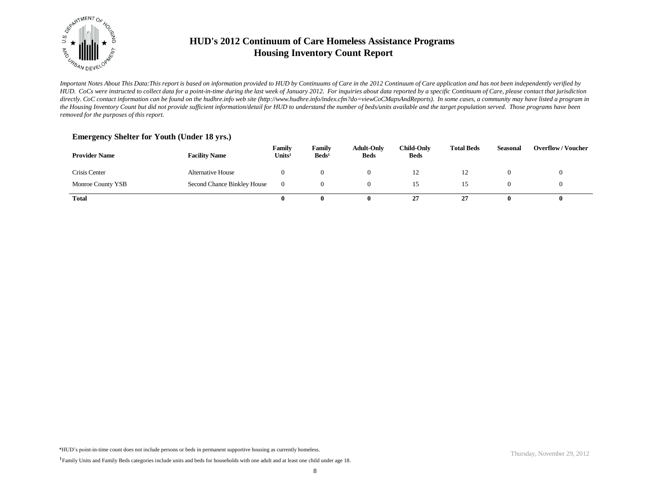

*Important Notes About This Data:This report is based on information provided to HUD by Continuums of Care in the 2012 Continuum of Care application and has not been independently verified by HUD. CoCs were instructed to collect data for a point-in-time during the last week of January 2012. For inquiries about data reported by a specific Continuum of Care, please contact that jurisdiction*  directly. CoC contact information can be found on the hudhre.info web site (http://www.hudhre.info/index.cfm?do=viewCoCMapsAndReports). In some cases, a community may have listed a program in *the Housing Inventory Count but did not provide sufficient information/detail for HUD to understand the number of beds/units available and the target population served. Those programs have been removed for the purposes of this report.*

### **Emergency Shelter for Youth (Under 18 yrs.)**

| <b>Provider Name</b> | <b>Facility Name</b>        | Family<br>Units <sup>1</sup> | Family<br>Beds <sup>1</sup> | <b>Adult-Only</b><br><b>Beds</b> | <b>Child-Only</b><br><b>Beds</b> | <b>Total Beds</b> | Seasonal | <b>Overflow/Voucher</b> |
|----------------------|-----------------------------|------------------------------|-----------------------------|----------------------------------|----------------------------------|-------------------|----------|-------------------------|
| Crisis Center        | Alternative House           |                              | 0                           |                                  | $\frac{1}{2}$                    | ⊥∠                |          |                         |
| Monroe County YSB    | Second Chance Binkley House | $\Omega$                     | 0                           |                                  |                                  |                   |          |                         |
| <b>Total</b>         |                             |                              | 0                           |                                  | 27                               | າາ<br>41          |          |                         |

<sup>&</sup>lt;sup>1</sup>Family Units and Family Beds categories include units and beds for households with one adult and at least one child under age 18.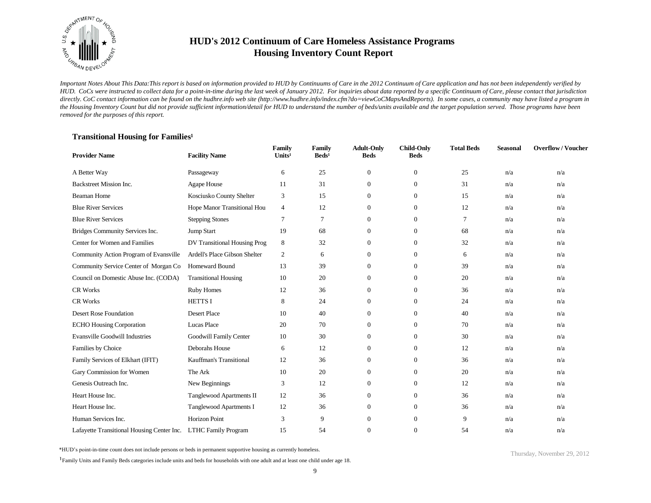

*Important Notes About This Data:This report is based on information provided to HUD by Continuums of Care in the 2012 Continuum of Care application and has not been independently verified by HUD. CoCs were instructed to collect data for a point-in-time during the last week of January 2012. For inquiries about data reported by a specific Continuum of Care, please contact that jurisdiction*  directly. CoC contact information can be found on the hudhre.info web site (http://www.hudhre.info/index.cfm?do=viewCoCMapsAndReports). In some cases, a community may have listed a program in *the Housing Inventory Count but did not provide sufficient information/detail for HUD to understand the number of beds/units available and the target population served. Those programs have been removed for the purposes of this report.*

### **Transitional Housing for Families<sup>1</sup>**

| <b>Provider Name</b>                       | <b>Facility Name</b>          | Family<br>Units <sup>1</sup> | Family<br>$\text{Beds}^1$ | <b>Adult-Only</b><br><b>Beds</b> | <b>Child-Only</b><br><b>Beds</b> | <b>Total Beds</b> | <b>Seasonal</b> | <b>Overflow/Voucher</b> |
|--------------------------------------------|-------------------------------|------------------------------|---------------------------|----------------------------------|----------------------------------|-------------------|-----------------|-------------------------|
| A Better Way                               | Passageway                    | 6                            | 25                        | $\mathbf{0}$                     | $\mathbf{0}$                     | 25                | n/a             | n/a                     |
| Backstreet Mission Inc.                    | Agape House                   | 11                           | 31                        | $\mathbf{0}$                     | $\mathbf{0}$                     | 31                | n/a             | n/a                     |
| <b>Beaman Home</b>                         | Kosciusko County Shelter      | 3                            | 15                        | $\overline{0}$                   | $\mathbf{0}$                     | 15                | n/a             | n/a                     |
| <b>Blue River Services</b>                 | Hope Manor Transitional Hou   | $\overline{4}$               | 12                        | $\overline{0}$                   | $\overline{0}$                   | 12                | n/a             | n/a                     |
| <b>Blue River Services</b>                 | <b>Stepping Stones</b>        | $\overline{7}$               | $\tau$                    | $\overline{0}$                   | $\mathbf{0}$                     | $\overline{7}$    | n/a             | n/a                     |
| Bridges Community Services Inc.            | Jump Start                    | 19                           | 68                        | $\overline{0}$                   | $\theta$                         | 68                | n/a             | n/a                     |
| Center for Women and Families              | DV Transitional Housing Prog  | 8                            | 32                        | $\overline{0}$                   | $\theta$                         | 32                | n/a             | n/a                     |
| Community Action Program of Evansville     | Ardell's Place Gibson Shelter | $\overline{2}$               | 6                         | $\overline{0}$                   | $\Omega$                         | 6                 | n/a             | n/a                     |
| Community Service Center of Morgan Co      | Homeward Bound                | 13                           | 39                        | $\overline{0}$                   | $\theta$                         | 39                | n/a             | n/a                     |
| Council on Domestic Abuse Inc. (CODA)      | <b>Transitional Housing</b>   | 10                           | 20                        | $\overline{0}$                   | $\overline{0}$                   | 20                | n/a             | n/a                     |
| <b>CR Works</b>                            | <b>Ruby Homes</b>             | 12                           | 36                        | $\overline{0}$                   | $\mathbf{0}$                     | 36                | n/a             | n/a                     |
| <b>CR Works</b>                            | <b>HETTSI</b>                 | 8                            | 24                        | $\overline{0}$                   | $\mathbf{0}$                     | 24                | n/a             | n/a                     |
| Desert Rose Foundation                     | <b>Desert Place</b>           | 10                           | 40                        | $\overline{0}$                   | $\mathbf{0}$                     | 40                | n/a             | n/a                     |
| <b>ECHO Housing Corporation</b>            | Lucas Place                   | 20                           | 70                        | 0                                | $\overline{0}$                   | 70                | n/a             | n/a                     |
| <b>Evansville Goodwill Industries</b>      | Goodwill Family Center        | 10                           | 30                        | $\overline{0}$                   | $\theta$                         | 30                | n/a             | n/a                     |
| Families by Choice                         | Deborahs House                | 6                            | 12                        | $\overline{0}$                   | $\overline{0}$                   | 12                | n/a             | n/a                     |
| Family Services of Elkhart (IFIT)          | Kauffman's Transitional       | 12                           | 36                        | $\overline{0}$                   | $\theta$                         | 36                | n/a             | n/a                     |
| Gary Commission for Women                  | The Ark                       | 10                           | 20                        | $\overline{0}$                   | $\overline{0}$                   | 20                | n/a             | n/a                     |
| Genesis Outreach Inc.                      | New Beginnings                | 3                            | 12                        | $\overline{0}$                   | $\mathbf{0}$                     | 12                | n/a             | n/a                     |
| Heart House Inc.                           | Tanglewood Apartments II      | 12                           | 36                        | $\overline{0}$                   | $\overline{0}$                   | 36                | n/a             | n/a                     |
| Heart House Inc.                           | Tanglewood Apartments I       | 12                           | 36                        | $\mathbf{0}$                     | $\mathbf{0}$                     | 36                | n/a             | n/a                     |
| Human Services Inc.                        | Horizon Point                 | 3                            | 9                         | $\mathbf{0}$                     | $\theta$                         | 9                 | n/a             | n/a                     |
| Lafayette Transitional Housing Center Inc. | <b>LTHC Family Program</b>    | 15                           | 54                        | $\overline{0}$                   | $\Omega$                         | 54                | n/a             | n/a                     |

\*HUD's point-in-time count does not include persons or beds in permanent supportive housing as currently homeless.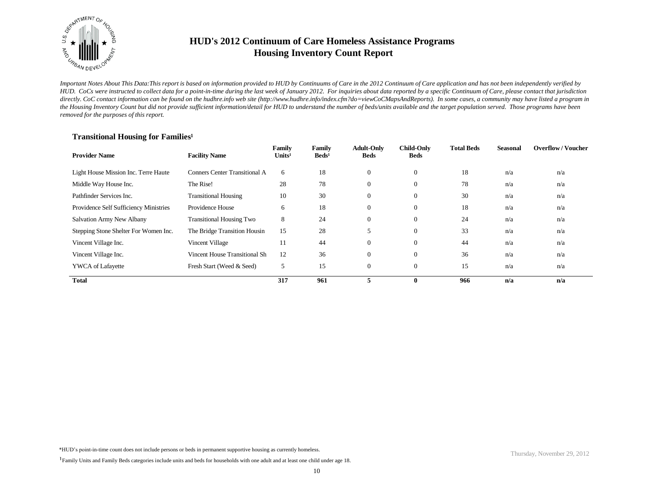

*Important Notes About This Data:This report is based on information provided to HUD by Continuums of Care in the 2012 Continuum of Care application and has not been independently verified by HUD. CoCs were instructed to collect data for a point-in-time during the last week of January 2012. For inquiries about data reported by a specific Continuum of Care, please contact that jurisdiction*  directly. CoC contact information can be found on the hudhre.info web site (http://www.hudhre.info/index.cfm?do=viewCoCMapsAndReports). In some cases, a community may have listed a program in *the Housing Inventory Count but did not provide sufficient information/detail for HUD to understand the number of beds/units available and the target population served. Those programs have been removed for the purposes of this report.*

# **Transitional Housing for Families<sup>1</sup>**

| <b>Provider Name</b>                   | <b>Facility Name</b>            | Family<br>Units <sup>1</sup> | Family<br>$\text{Beds}^1$ | <b>Adult-Only</b><br><b>Beds</b> | <b>Child-Only</b><br><b>Beds</b> | <b>Total Beds</b> | <b>Seasonal</b> | <b>Overflow/Voucher</b> |
|----------------------------------------|---------------------------------|------------------------------|---------------------------|----------------------------------|----------------------------------|-------------------|-----------------|-------------------------|
| Light House Mission Inc. Terre Haute   | Conners Center Transitional A   | 6                            | 18                        | $\overline{0}$                   | $\overline{0}$                   | 18                | n/a             | n/a                     |
| Middle Way House Inc.                  | The Rise!                       | 28                           | 78                        | $\Omega$                         | $\theta$                         | 78                | n/a             | n/a                     |
| Pathfinder Services Inc.               | <b>Transitional Housing</b>     | 10                           | 30                        | $\Omega$                         | $\mathbf{0}$                     | 30                | n/a             | n/a                     |
| Providence Self Sufficiency Ministries | Providence House                | 6                            | 18                        | $\Omega$                         | $\overline{0}$                   | 18                | n/a             | n/a                     |
| Salvation Army New Albany              | <b>Transitional Housing Two</b> | 8                            | 24                        | $\overline{0}$                   | $\mathbf{0}$                     | 24                | n/a             | n/a                     |
| Stepping Stone Shelter For Women Inc.  | The Bridge Transition Housin    | 15                           | 28                        |                                  | $\theta$                         | 33                | n/a             | n/a                     |
| Vincent Village Inc.                   | Vincent Village                 | 11                           | 44                        | $\overline{0}$                   | $\mathbf{0}$                     | 44                | n/a             | n/a                     |
| Vincent Village Inc.                   | Vincent House Transitional Sh   | 12                           | 36                        | $\overline{0}$                   | $\mathbf{0}$                     | 36                | n/a             | n/a                     |
| <b>YWCA</b> of Lafayette               | Fresh Start (Weed & Seed)       | 5                            | 15                        | $\overline{0}$                   | $\Omega$                         | 15                | n/a             | n/a                     |
| <b>Total</b>                           |                                 | 317                          | 961                       | 5                                | $\mathbf 0$                      | 966               | n/a             | n/a                     |

<sup>&</sup>lt;sup>1</sup>Family Units and Family Beds categories include units and beds for households with one adult and at least one child under age 18.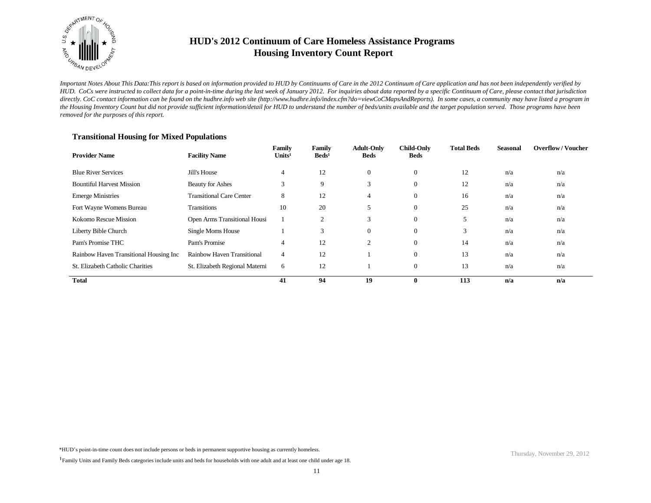

*Important Notes About This Data:This report is based on information provided to HUD by Continuums of Care in the 2012 Continuum of Care application and has not been independently verified by HUD. CoCs were instructed to collect data for a point-in-time during the last week of January 2012. For inquiries about data reported by a specific Continuum of Care, please contact that jurisdiction*  directly. CoC contact information can be found on the hudhre.info web site (http://www.hudhre.info/index.cfm?do=viewCoCMapsAndReports). In some cases, a community may have listed a program in *the Housing Inventory Count but did not provide sufficient information/detail for HUD to understand the number of beds/units available and the target population served. Those programs have been removed for the purposes of this report.*

| <b>Provider Name</b>                   | <b>Facility Name</b>            | Family<br>Units <sup>1</sup> | Family<br>$\text{Beds}^1$ | <b>Adult-Only</b><br><b>Beds</b> | <b>Child-Only</b><br><b>Beds</b> | <b>Total Beds</b> | <b>Seasonal</b> | <b>Overflow/Voucher</b> |
|----------------------------------------|---------------------------------|------------------------------|---------------------------|----------------------------------|----------------------------------|-------------------|-----------------|-------------------------|
| <b>Blue River Services</b>             | Jill's House                    | 4                            | 12                        | $\overline{0}$                   | $\overline{0}$                   | 12                | n/a             | n/a                     |
| <b>Bountiful Harvest Mission</b>       | <b>Beauty for Ashes</b>         | 3                            | 9                         | ⌒<br>ð.                          | $\overline{0}$                   | 12                | n/a             | n/a                     |
| <b>Emerge Ministries</b>               | <b>Transitional Care Center</b> | 8                            | 12                        | 4                                | $\overline{0}$                   | 16                | n/a             | n/a                     |
| Fort Wayne Womens Bureau               | <b>Transitions</b>              | 10                           | 20                        | 5                                | $\overline{0}$                   | 25                | n/a             | n/a                     |
| Kokomo Rescue Mission                  | Open Arms Transitional Housi    |                              | 2                         | 3                                | $\overline{0}$                   | 5                 | n/a             | n/a                     |
| Liberty Bible Church                   | Single Moms House               |                              | 3                         | $\Omega$                         | $\overline{0}$                   | 3                 | n/a             | n/a                     |
| Pam's Promise THC                      | Pam's Promise                   | 4                            | 12                        | $\overline{c}$                   | $\Omega$                         | 14                | n/a             | n/a                     |
| Rainbow Haven Transitional Housing Inc | Rainbow Haven Transitional      | 4                            | 12                        |                                  | $\overline{0}$                   | 13                | n/a             | n/a                     |
| St. Elizabeth Catholic Charities       | St. Elizabeth Regional Materni  | 6                            | 12                        |                                  | $\overline{0}$                   | 13                | n/a             | n/a                     |
| <b>Total</b>                           |                                 | 41                           | 94                        | 19                               | $\mathbf{0}$                     | 113               | n/a             | n/a                     |

### **Transitional Housing for Mixed Populations**

<sup>&</sup>lt;sup>1</sup>Family Units and Family Beds categories include units and beds for households with one adult and at least one child under age 18.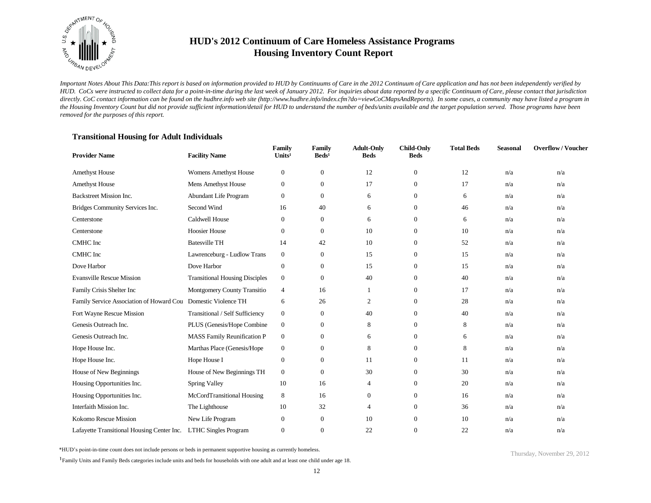

*Important Notes About This Data:This report is based on information provided to HUD by Continuums of Care in the 2012 Continuum of Care application and has not been independently verified by HUD. CoCs were instructed to collect data for a point-in-time during the last week of January 2012. For inquiries about data reported by a specific Continuum of Care, please contact that jurisdiction*  directly. CoC contact information can be found on the hudhre.info web site (http://www.hudhre.info/index.cfm?do=viewCoCMapsAndReports). In some cases, a community may have listed a program in *the Housing Inventory Count but did not provide sufficient information/detail for HUD to understand the number of beds/units available and the target population served. Those programs have been removed for the purposes of this report.*

### **Transitional Housing for Adult Individuals**

| <b>Provider Name</b>                       | <b>Facility Name</b>                  | Family<br>Units <sup>1</sup> | Family<br>$\text{Beds}^1$ | <b>Adult-Only</b><br><b>Beds</b> | <b>Child-Only</b><br><b>Beds</b> | <b>Total Beds</b> | <b>Seasonal</b> | <b>Overflow/Voucher</b> |
|--------------------------------------------|---------------------------------------|------------------------------|---------------------------|----------------------------------|----------------------------------|-------------------|-----------------|-------------------------|
| <b>Amethyst House</b>                      | <b>Womens Amethyst House</b>          | $\mathbf{0}$                 | $\boldsymbol{0}$          | 12                               | $\mathbf{0}$                     | 12                | n/a             | n/a                     |
| <b>Amethyst House</b>                      | Mens Amethyst House                   | $\boldsymbol{0}$             | $\boldsymbol{0}$          | 17                               | $\mathbf{0}$                     | 17                | n/a             | n/a                     |
| Backstreet Mission Inc.                    | Abundant Life Program                 | $\mathbf{0}$                 | $\boldsymbol{0}$          | 6                                | $\theta$                         | 6                 | n/a             | n/a                     |
| Bridges Community Services Inc.            | Second Wind                           | 16                           | 40                        | 6                                | $\theta$                         | 46                | n/a             | n/a                     |
| Centerstone                                | Caldwell House                        | $\mathbf{0}$                 | $\mathbf{0}$              | 6                                | $\theta$                         | 6                 | n/a             | n/a                     |
| Centerstone                                | <b>Hoosier House</b>                  | $\Omega$                     | $\mathbf{0}$              | 10                               | $\Omega$                         | 10                | n/a             | n/a                     |
| CMHC Inc                                   | <b>Batesville TH</b>                  | 14                           | 42                        | 10                               | $\theta$                         | 52                | n/a             | n/a                     |
| CMHC Inc                                   | Lawrenceburg - Ludlow Trans           | $\boldsymbol{0}$             | $\mathbf{0}$              | 15                               | $\theta$                         | 15                | n/a             | n/a                     |
| Dove Harbor                                | Dove Harbor                           | $\boldsymbol{0}$             | $\mathbf{0}$              | 15                               | $\theta$                         | 15                | n/a             | n/a                     |
| <b>Evansville Rescue Mission</b>           | <b>Transitional Housing Disciples</b> | $\mathbf{0}$                 | $\boldsymbol{0}$          | 40                               | $\mathbf{0}$                     | 40                | n/a             | n/a                     |
| Family Crisis Shelter Inc                  | Montgomery County Transitio           | $\overline{4}$               | 16                        |                                  | $\mathbf{0}$                     | 17                | n/a             | n/a                     |
| Family Service Association of Howard Cou   | Domestic Violence TH                  | 6                            | 26                        | 2                                | $\overline{0}$                   | 28                | n/a             | n/a                     |
| Fort Wayne Rescue Mission                  | Transitional / Self Sufficiency       | $\boldsymbol{0}$             | $\boldsymbol{0}$          | 40                               | $\theta$                         | 40                | n/a             | n/a                     |
| Genesis Outreach Inc.                      | PLUS (Genesis/Hope Combine            | $\boldsymbol{0}$             | $\boldsymbol{0}$          | 8                                | $\overline{0}$                   | 8                 | n/a             | n/a                     |
| Genesis Outreach Inc.                      | MASS Family Reunification P           | $\boldsymbol{0}$             | $\boldsymbol{0}$          | 6                                | $\theta$                         | 6                 | n/a             | n/a                     |
| Hope House Inc.                            | Marthas Place (Genesis/Hope           | $\boldsymbol{0}$             | $\boldsymbol{0}$          | 8                                | $\theta$                         | 8                 | n/a             | n/a                     |
| Hope House Inc.                            | Hope House I                          | $\mathbf{0}$                 | $\boldsymbol{0}$          | 11                               | $\theta$                         | 11                | n/a             | n/a                     |
| House of New Beginnings                    | House of New Beginnings TH            | $\mathbf{0}$                 | $\overline{0}$            | 30                               | $\theta$                         | 30                | n/a             | n/a                     |
| Housing Opportunities Inc.                 | Spring Valley                         | 10                           | 16                        | $\overline{4}$                   | $\mathbf{0}$                     | 20                | n/a             | n/a                     |
| Housing Opportunities Inc.                 | McCordTransitional Housing            | 8                            | 16                        | $\overline{0}$                   | $\overline{0}$                   | 16                | n/a             | n/a                     |
| Interfaith Mission Inc.                    | The Lighthouse                        | 10                           | 32                        | 4                                | $\mathbf{0}$                     | 36                | n/a             | n/a                     |
| Kokomo Rescue Mission                      | New Life Program                      | $\boldsymbol{0}$             | $\mathbf{0}$              | 10                               | $\mathbf{0}$                     | 10                | n/a             | n/a                     |
| Lafayette Transitional Housing Center Inc. | <b>LTHC Singles Program</b>           | $\theta$                     | $\mathbf{0}$              | 22                               | $\Omega$                         | 22                | n/a             | n/a                     |

\*HUD's point-in-time count does not include persons or beds in permanent supportive housing as currently homeless.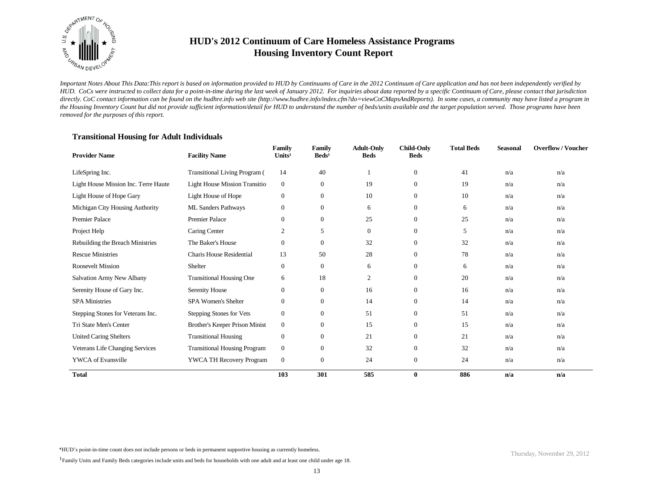

*Important Notes About This Data:This report is based on information provided to HUD by Continuums of Care in the 2012 Continuum of Care application and has not been independently verified by HUD. CoCs were instructed to collect data for a point-in-time during the last week of January 2012. For inquiries about data reported by a specific Continuum of Care, please contact that jurisdiction*  directly. CoC contact information can be found on the hudhre.info web site (http://www.hudhre.info/index.cfm?do=viewCoCMapsAndReports). In some cases, a community may have listed a program in *the Housing Inventory Count but did not provide sufficient information/detail for HUD to understand the number of beds/units available and the target population served. Those programs have been removed for the purposes of this report.*

| <b>Provider Name</b>                 | <b>Facility Name</b>                 | Family<br>Units <sup>1</sup> | Family<br>$\text{Beds}^1$ | <b>Adult-Only</b><br><b>Beds</b> | <b>Child-Only</b><br><b>Beds</b> | <b>Total Beds</b> | <b>Seasonal</b> | <b>Overflow/Voucher</b> |
|--------------------------------------|--------------------------------------|------------------------------|---------------------------|----------------------------------|----------------------------------|-------------------|-----------------|-------------------------|
| LifeSpring Inc.                      | <b>Transitional Living Program</b> ( | 14                           | 40                        |                                  | $\theta$                         | 41                | n/a             | n/a                     |
| Light House Mission Inc. Terre Haute | <b>Light House Mission Transitio</b> | $\mathbf{0}$                 | $\mathbf{0}$              | 19                               | $\mathbf{0}$                     | 19                | n/a             | n/a                     |
| Light House of Hope Gary             | Light House of Hope                  | $\boldsymbol{0}$             | $\mathbf{0}$              | 10                               | $\theta$                         | 10                | n/a             | n/a                     |
| Michigan City Housing Authority      | ML Sanders Pathways                  | $\mathbf{0}$                 | $\mathbf{0}$              | 6                                | $\theta$                         | 6                 | n/a             | n/a                     |
| <b>Premier Palace</b>                | <b>Premier Palace</b>                | $\mathbf{0}$                 | $\mathbf{0}$              | 25                               | $\mathbf{0}$                     | 25                | n/a             | n/a                     |
| Project Help                         | Caring Center                        | $\mathfrak{2}$               | 5                         | $\boldsymbol{0}$                 | $\mathbf{0}$                     | 5                 | n/a             | n/a                     |
| Rebuilding the Breach Ministries     | The Baker's House                    | $\boldsymbol{0}$             | $\mathbf{0}$              | 32                               | $\mathbf{0}$                     | 32                | n/a             | n/a                     |
| <b>Rescue Ministries</b>             | <b>Charis House Residential</b>      | 13                           | 50                        | 28                               | $\mathbf{0}$                     | 78                | n/a             | n/a                     |
| <b>Roosevelt Mission</b>             | Shelter                              | $\mathbf{0}$                 | $\mathbf{0}$              | 6                                | $\theta$                         | 6                 | n/a             | n/a                     |
| Salvation Army New Albany            | <b>Transitional Housing One</b>      | 6                            | 18                        | 2                                | $\boldsymbol{0}$                 | 20                | n/a             | n/a                     |
| Serenity House of Gary Inc.          | Serenity House                       | $\mathbf{0}$                 | $\mathbf{0}$              | 16                               | $\theta$                         | 16                | n/a             | n/a                     |
| <b>SPA Ministries</b>                | <b>SPA Women's Shelter</b>           | $\boldsymbol{0}$             | $\mathbf{0}$              | 14                               | $\theta$                         | 14                | n/a             | n/a                     |
| Stepping Stones for Veterans Inc.    | Stepping Stones for Vets             | $\boldsymbol{0}$             | $\overline{0}$            | 51                               | $\theta$                         | 51                | n/a             | n/a                     |
| Tri State Men's Center               | Brother's Keeper Prison Minist       | $\mathbf{0}$                 | $\mathbf{0}$              | 15                               | $\mathbf{0}$                     | 15                | n/a             | n/a                     |
| <b>United Caring Shelters</b>        | <b>Transitional Housing</b>          | $\boldsymbol{0}$             | $\mathbf{0}$              | 21                               | $\theta$                         | 21                | n/a             | n/a                     |
| Veterans Life Changing Services      | <b>Transitional Housing Program</b>  | $\boldsymbol{0}$             | $\mathbf{0}$              | 32                               | $\mathbf{0}$                     | 32                | n/a             | n/a                     |
| <b>YWCA</b> of Evansville            | <b>YWCA TH Recovery Program</b>      | $\boldsymbol{0}$             | $\mathbf{0}$              | 24                               | $\mathbf{0}$                     | 24                | n/a             | n/a                     |
| <b>Total</b>                         |                                      | 103                          | 301                       | 585                              | $\bf{0}$                         | 886               | n/a             | n/a                     |

\*HUD's point-in-time count does not include persons or beds in permanent supportive housing as currently homeless.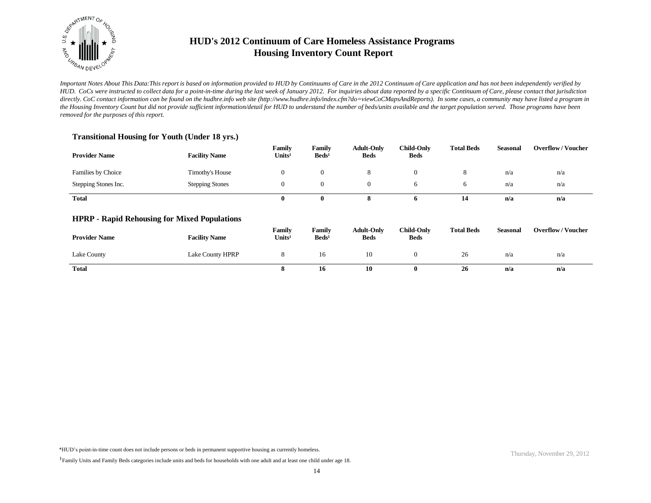

*Important Notes About This Data:This report is based on information provided to HUD by Continuums of Care in the 2012 Continuum of Care application and has not been independently verified by HUD. CoCs were instructed to collect data for a point-in-time during the last week of January 2012. For inquiries about data reported by a specific Continuum of Care, please contact that jurisdiction*  directly. CoC contact information can be found on the hudhre.info web site (http://www.hudhre.info/index.cfm?do=viewCoCMapsAndReports). In some cases, a community may have listed a program in *the Housing Inventory Count but did not provide sufficient information/detail for HUD to understand the number of beds/units available and the target population served. Those programs have been removed for the purposes of this report.*

### **Transitional Housing for Youth (Under 18 yrs.)**

| <b>Provider Name</b>      | <b>Facility Name</b>   | Family<br>Units <sup>1</sup> | Family<br>$\text{Beds}^1$ | <b>Adult-Only</b><br><b>Beds</b> | <b>Child-Only</b><br><b>Beds</b> | <b>Total Beds</b> | Seasonal | <b>Overflow/Voucher</b> |
|---------------------------|------------------------|------------------------------|---------------------------|----------------------------------|----------------------------------|-------------------|----------|-------------------------|
| <b>Families by Choice</b> | Timothy's House        |                              |                           |                                  |                                  |                   | n/a      | n/a                     |
| Stepping Stones Inc.      | <b>Stepping Stones</b> |                              |                           |                                  |                                  |                   | n/a      | n/a                     |
| <b>Total</b>              |                        |                              |                           |                                  |                                  | 14                | n/a      | n/a                     |

### **HPRP - Rapid Rehousing for Mixed Populations**

| <b>Provider Name</b> | <b>Facility Name</b> | Family<br>Units <sup>1</sup> | Familv<br>$\text{Beds}^1$ | <b>Adult-Only</b><br><b>Beds</b> | <b>Child-Only</b><br><b>Beds</b> | <b>Total Beds</b> | Seasonal | <b>Overflow/Voucher</b> |
|----------------------|----------------------|------------------------------|---------------------------|----------------------------------|----------------------------------|-------------------|----------|-------------------------|
| Lake County          | Lake County HPRP     |                              | 16                        | 10                               |                                  | 26                | n/a      | n/a                     |
| <b>Total</b>         |                      |                              | 10                        | 10                               |                                  | 26                | n/a      | n/a                     |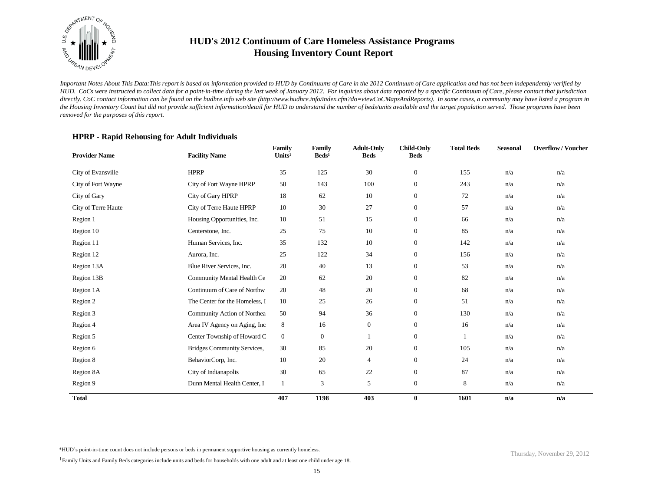

*Important Notes About This Data:This report is based on information provided to HUD by Continuums of Care in the 2012 Continuum of Care application and has not been independently verified by HUD. CoCs were instructed to collect data for a point-in-time during the last week of January 2012. For inquiries about data reported by a specific Continuum of Care, please contact that jurisdiction*  directly. CoC contact information can be found on the hudhre.info web site (http://www.hudhre.info/index.cfm?do=viewCoCMapsAndReports). In some cases, a community may have listed a program in *the Housing Inventory Count but did not provide sufficient information/detail for HUD to understand the number of beds/units available and the target population served. Those programs have been removed for the purposes of this report.*

### **HPRP - Rapid Rehousing for Adult Individuals**

| <b>Provider Name</b> | <b>Facility Name</b>           | Family<br>Units <sup>1</sup> | Family<br>$\text{Beds}^1$ | <b>Adult-Only</b><br><b>Beds</b> | <b>Child-Only</b><br><b>Beds</b> | <b>Total Beds</b> | <b>Seasonal</b> | <b>Overflow/Voucher</b> |
|----------------------|--------------------------------|------------------------------|---------------------------|----------------------------------|----------------------------------|-------------------|-----------------|-------------------------|
| City of Evansville   | <b>HPRP</b>                    | 35                           | 125                       | 30                               | $\boldsymbol{0}$                 | 155               | n/a             | n/a                     |
| City of Fort Wayne   | City of Fort Wayne HPRP        | 50                           | 143                       | 100                              | $\mathbf{0}$                     | 243               | n/a             | n/a                     |
| City of Gary         | City of Gary HPRP              | 18                           | 62                        | 10                               | $\mathbf{0}$                     | 72                | n/a             | n/a                     |
| City of Terre Haute  | City of Terre Haute HPRP       | 10                           | 30                        | 27                               | $\mathbf{0}$                     | 57                | n/a             | n/a                     |
| Region 1             | Housing Opportunities, Inc.    | 10                           | 51                        | 15                               | $\mathbf{0}$                     | 66                | n/a             | n/a                     |
| Region 10            | Centerstone, Inc.              | 25                           | 75                        | 10                               | $\mathbf{0}$                     | 85                | n/a             | n/a                     |
| Region 11            | Human Services, Inc.           | 35                           | 132                       | 10                               | $\boldsymbol{0}$                 | 142               | n/a             | n/a                     |
| Region 12            | Aurora, Inc.                   | 25                           | 122                       | 34                               | $\mathbf{0}$                     | 156               | n/a             | n/a                     |
| Region 13A           | Blue River Services, Inc.      | 20                           | 40                        | 13                               | $\boldsymbol{0}$                 | 53                | n/a             | n/a                     |
| Region 13B           | Community Mental Health Ce     | 20                           | 62                        | 20                               | $\mathbf{0}$                     | 82                | n/a             | n/a                     |
| Region 1A            | Continuum of Care of Northw    | 20                           | 48                        | 20                               | $\mathbf{0}$                     | 68                | n/a             | n/a                     |
| Region 2             | The Center for the Homeless, I | 10                           | 25                        | 26                               | $\mathbf{0}$                     | 51                | n/a             | n/a                     |
| Region 3             | Community Action of Northea    | 50                           | 94                        | 36                               | $\mathbf{0}$                     | 130               | n/a             | n/a                     |
| Region 4             | Area IV Agency on Aging, Inc.  | 8                            | 16                        | $\boldsymbol{0}$                 | $\mathbf{0}$                     | 16                | n/a             | n/a                     |
| Region 5             | Center Township of Howard C    | $\mathbf{0}$                 | $\boldsymbol{0}$          |                                  | $\mathbf{0}$                     | 1                 | n/a             | n/a                     |
| Region 6             | Bridges Community Services,    | 30                           | 85                        | 20                               | $\mathbf{0}$                     | 105               | n/a             | n/a                     |
| Region 8             | BehaviorCorp, Inc.             | 10                           | 20                        | 4                                | $\mathbf{0}$                     | 24                | n/a             | n/a                     |
| Region 8A            | City of Indianapolis           | 30                           | 65                        | 22                               | $\mathbf{0}$                     | 87                | n/a             | n/a                     |
| Region 9             | Dunn Mental Health Center, I   | 1                            | $\ensuremath{\mathsf{3}}$ | 5                                | $\mathbf{0}$                     | 8                 | n/a             | n/a                     |
| <b>Total</b>         |                                | 407                          | 1198                      | 403                              | $\bf{0}$                         | 1601              | n/a             | n/a                     |

\*HUD's point-in-time count does not include persons or beds in permanent supportive housing as currently homeless.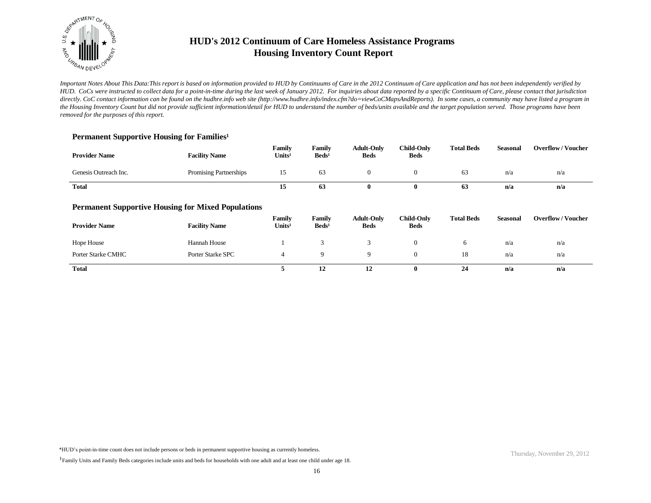

*Important Notes About This Data:This report is based on information provided to HUD by Continuums of Care in the 2012 Continuum of Care application and has not been independently verified by HUD. CoCs were instructed to collect data for a point-in-time during the last week of January 2012. For inquiries about data reported by a specific Continuum of Care, please contact that jurisdiction*  directly. CoC contact information can be found on the hudhre.info web site (http://www.hudhre.info/index.cfm?do=viewCoCMapsAndReports). In some cases, a community may have listed a program in *the Housing Inventory Count but did not provide sufficient information/detail for HUD to understand the number of beds/units available and the target population served. Those programs have been removed for the purposes of this report.*

### Permanent Supportive Housing for Families<sup>1</sup>

| <b>Provider Name</b>  | <b>Facility Name</b>                                      | Family<br>Units <sup>1</sup> | Family<br>$\text{Beds}^1$ | <b>Adult-Only</b><br><b>Beds</b> | <b>Child-Only</b><br><b>Beds</b> | <b>Total Beds</b> | <b>Seasonal</b> | <b>Overflow/Voucher</b> |
|-----------------------|-----------------------------------------------------------|------------------------------|---------------------------|----------------------------------|----------------------------------|-------------------|-----------------|-------------------------|
| Genesis Outreach Inc. | Promising Partnerships                                    | 15                           | 63                        | $\overline{0}$                   | $\mathbf{0}$                     | 63                | n/a             | n/a                     |
| <b>Total</b>          |                                                           | 15                           | 63                        | $\bf{0}$                         | $\bf{0}$                         | 63                | n/a             | n/a                     |
|                       | <b>Permanent Supportive Housing for Mixed Populations</b> |                              |                           |                                  |                                  |                   |                 |                         |
| <b>Provider Name</b>  | <b>Facility Name</b>                                      | Family<br>Units <sup>1</sup> | Family<br>$\text{Beds}^1$ | <b>Adult-Only</b><br><b>Beds</b> | <b>Child-Only</b><br><b>Beds</b> | <b>Total Beds</b> | <b>Seasonal</b> | <b>Overflow/Voucher</b> |
| Hope House            | <b>Hannah House</b>                                       |                              | 3                         | 3                                | $\mathbf{0}$                     | 6                 | n/a             | n/a                     |
| Porter Starke CMHC    | Porter Starke SPC                                         | 4                            | 9                         | 9                                | $\theta$                         | 18                | n/a             | n/a                     |
| <b>Total</b>          |                                                           | 5                            | 12                        | 12                               | $\bf{0}$                         | 24                | n/a             | n/a                     |

<sup>&</sup>lt;sup>1</sup>Family Units and Family Beds categories include units and beds for households with one adult and at least one child under age 18.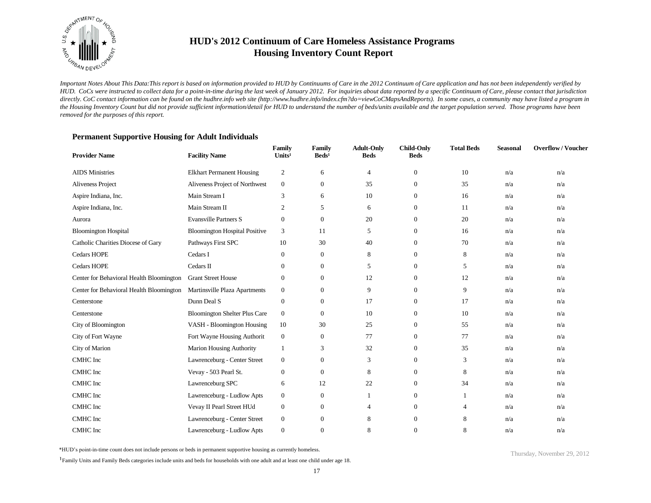

*Important Notes About This Data:This report is based on information provided to HUD by Continuums of Care in the 2012 Continuum of Care application and has not been independently verified by HUD. CoCs were instructed to collect data for a point-in-time during the last week of January 2012. For inquiries about data reported by a specific Continuum of Care, please contact that jurisdiction*  directly. CoC contact information can be found on the hudhre.info web site (http://www.hudhre.info/index.cfm?do=viewCoCMapsAndReports). In some cases, a community may have listed a program in *the Housing Inventory Count but did not provide sufficient information/detail for HUD to understand the number of beds/units available and the target population served. Those programs have been removed for the purposes of this report.*

| <b>Provider Name</b>                     | <b>Facility Name</b>                 | Family<br>Units <sup>1</sup> | Family<br>$\text{Beds}^1$ | <b>Adult-Only</b><br><b>Beds</b> | <b>Child-Only</b><br><b>Beds</b> | <b>Total Beds</b> | <b>Seasonal</b> | <b>Overflow/Voucher</b> |
|------------------------------------------|--------------------------------------|------------------------------|---------------------------|----------------------------------|----------------------------------|-------------------|-----------------|-------------------------|
| <b>AIDS</b> Ministries                   | <b>Elkhart Permanent Housing</b>     | 2                            | 6                         | 4                                | $\mathbf{0}$                     | 10                | n/a             | n/a                     |
| Aliveness Project                        | Aliveness Project of Northwest       | $\mathbf{0}$                 | $\mathbf{0}$              | 35                               | $\boldsymbol{0}$                 | 35                | n/a             | n/a                     |
| Aspire Indiana, Inc.                     | Main Stream I                        | 3                            | 6                         | 10                               | $\mathbf{0}$                     | 16                | n/a             | n/a                     |
| Aspire Indiana, Inc.                     | Main Stream II                       | 2                            | 5                         | 6                                | $\mathbf{0}$                     | 11                | n/a             | n/a                     |
| Aurora                                   | <b>Evansville Partners S</b>         | $\boldsymbol{0}$             | $\mathbf{0}$              | 20                               | $\mathbf{0}$                     | 20                | n/a             | n/a                     |
| <b>Bloomington Hospital</b>              | <b>Bloomington Hospital Positive</b> | 3                            | 11                        | 5                                | $\mathbf{0}$                     | 16                | n/a             | n/a                     |
| Catholic Charities Diocese of Gary       | Pathways First SPC                   | 10                           | 30                        | 40                               | $\mathbf{0}$                     | 70                | n/a             | n/a                     |
| <b>Cedars HOPE</b>                       | Cedars I                             | $\overline{0}$               | $\boldsymbol{0}$          | 8                                | $\mathbf{0}$                     | 8                 | n/a             | n/a                     |
| <b>Cedars HOPE</b>                       | Cedars II                            | $\overline{0}$               | $\boldsymbol{0}$          | 5                                | $\mathbf{0}$                     | 5                 | n/a             | n/a                     |
| Center for Behavioral Health Bloomington | <b>Grant Street House</b>            | $\theta$                     | $\boldsymbol{0}$          | 12                               | $\mathbf{0}$                     | 12                | n/a             | n/a                     |
| Center for Behavioral Health Bloomington | Martinsville Plaza Apartments        | $\mathbf{0}$                 | $\mathbf{0}$              | 9                                | $\overline{0}$                   | 9                 | n/a             | n/a                     |
| Centerstone                              | Dunn Deal S                          | $\boldsymbol{0}$             | $\boldsymbol{0}$          | 17                               | $\mathbf{0}$                     | 17                | n/a             | n/a                     |
| Centerstone                              | <b>Bloomington Shelter Plus Care</b> | $\mathbf{0}$                 | $\mathbf{0}$              | 10                               | $\mathbf{0}$                     | 10                | n/a             | n/a                     |
| City of Bloomington                      | VASH - Bloomington Housing           | 10                           | 30                        | 25                               | $\mathbf{0}$                     | 55                | n/a             | n/a                     |
| City of Fort Wayne                       | Fort Wayne Housing Authorit          | $\mathbf{0}$                 | $\mathbf{0}$              | 77                               | $\mathbf{0}$                     | 77                | n/a             | n/a                     |
| City of Marion                           | Marion Housing Authority             | $\mathbf{1}$                 | 3                         | 32                               | $\mathbf{0}$                     | 35                | n/a             | n/a                     |
| <b>CMHC</b> Inc                          | Lawrenceburg - Center Street         | $\boldsymbol{0}$             | $\mathbf{0}$              | 3                                | $\overline{0}$                   | 3                 | n/a             | n/a                     |
| CMHC Inc                                 | Vevay - 503 Pearl St.                | $\mathbf{0}$                 | $\boldsymbol{0}$          | 8                                | $\overline{0}$                   | 8                 | n/a             | n/a                     |
| <b>CMHC</b> Inc                          | Lawrenceburg SPC                     | 6                            | 12                        | 22                               | $\overline{0}$                   | 34                | n/a             | n/a                     |
| CMHC Inc                                 | Lawrenceburg - Ludlow Apts           | $\boldsymbol{0}$             | $\boldsymbol{0}$          | 1                                | $\boldsymbol{0}$                 |                   | n/a             | n/a                     |
| CMHC Inc                                 | Vevay II Pearl Street HUd            | $\boldsymbol{0}$             | $\mathbf{0}$              | $\overline{4}$                   | $\overline{0}$                   | 4                 | n/a             | n/a                     |
| CMHC Inc                                 | Lawrenceburg - Center Street         | $\boldsymbol{0}$             | $\boldsymbol{0}$          | 8                                | $\mathbf{0}$                     | 8                 | n/a             | n/a                     |
| <b>CMHC</b> Inc                          | Lawrenceburg - Ludlow Apts           | $\mathbf{0}$                 | $\overline{0}$            | 8                                | $\Omega$                         | 8                 | n/a             | n/a                     |

### **Permanent Supportive Housing for Adult Individuals**

\*HUD's point-in-time count does not include persons or beds in permanent supportive housing as currently homeless.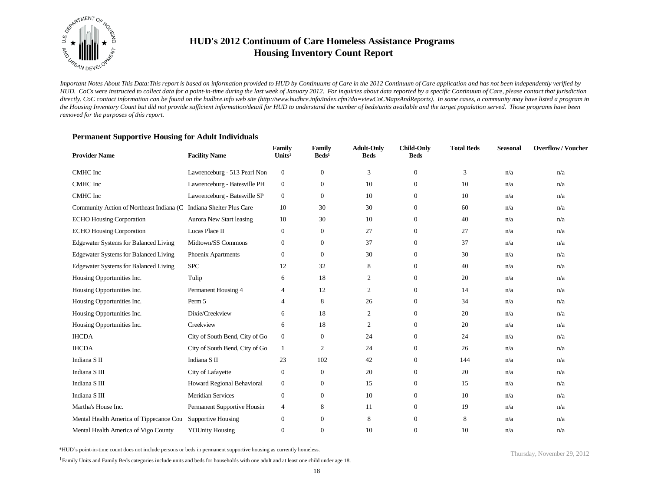

*Important Notes About This Data:This report is based on information provided to HUD by Continuums of Care in the 2012 Continuum of Care application and has not been independently verified by HUD. CoCs were instructed to collect data for a point-in-time during the last week of January 2012. For inquiries about data reported by a specific Continuum of Care, please contact that jurisdiction*  directly. CoC contact information can be found on the hudhre.info web site (http://www.hudhre.info/index.cfm?do=viewCoCMapsAndReports). In some cases, a community may have listed a program in *the Housing Inventory Count but did not provide sufficient information/detail for HUD to understand the number of beds/units available and the target population served. Those programs have been removed for the purposes of this report.*

### **Permanent Supportive Housing for Adult Individuals**

| <b>Provider Name</b>                                               | <b>Facility Name</b>           | Family<br>Units <sup>1</sup> | Family<br>$\text{Beds}^1$ | <b>Adult-Only</b><br><b>Beds</b> | <b>Child-Only</b><br><b>Beds</b> | <b>Total Beds</b> | Seasonal | <b>Overflow/Voucher</b> |
|--------------------------------------------------------------------|--------------------------------|------------------------------|---------------------------|----------------------------------|----------------------------------|-------------------|----------|-------------------------|
| CMHC Inc                                                           | Lawrenceburg - 513 Pearl Non   | $\mathbf{0}$                 | $\boldsymbol{0}$          | 3                                | $\theta$                         | 3                 | n/a      | n/a                     |
| CMHC Inc                                                           | Lawrenceburg - Batesville PH   | $\boldsymbol{0}$             | $\boldsymbol{0}$          | 10                               | $\mathbf{0}$                     | 10                | n/a      | n/a                     |
| CMHC Inc                                                           | Lawrenceburg - Batesville SP   | $\mathbf{0}$                 | $\mathbf{0}$              | 10                               | $\Omega$                         | 10                | n/a      | n/a                     |
| Community Action of Northeast Indiana (C Indiana Shelter Plus Care |                                | 10                           | 30                        | 30                               | $\mathbf{0}$                     | 60                | n/a      | n/a                     |
| <b>ECHO Housing Corporation</b>                                    | Aurora New Start leasing       | 10                           | 30                        | 10                               | $\mathbf{0}$                     | 40                | n/a      | n/a                     |
| <b>ECHO Housing Corporation</b>                                    | Lucas Place II                 | $\mathbf{0}$                 | $\mathbf{0}$              | 27                               | $\mathbf{0}$                     | 27                | n/a      | n/a                     |
| <b>Edgewater Systems for Balanced Living</b>                       | Midtown/SS Commons             | $\theta$                     | $\mathbf{0}$              | 37                               | $\mathbf{0}$                     | 37                | n/a      | n/a                     |
| <b>Edgewater Systems for Balanced Living</b>                       | Phoenix Apartments             | $\mathbf{0}$                 | $\mathbf{0}$              | 30                               | $\mathbf{0}$                     | 30                | n/a      | n/a                     |
| <b>Edgewater Systems for Balanced Living</b>                       | <b>SPC</b>                     | 12                           | 32                        | 8                                | $\mathbf{0}$                     | 40                | n/a      | n/a                     |
| Housing Opportunities Inc.                                         | Tulip                          | 6                            | 18                        | $\boldsymbol{2}$                 | $\mathbf{0}$                     | 20                | n/a      | n/a                     |
| Housing Opportunities Inc.                                         | Permanent Housing 4            | 4                            | 12                        | $\overline{c}$                   | $\mathbf{0}$                     | 14                | n/a      | n/a                     |
| Housing Opportunities Inc.                                         | Perm 5                         | $\overline{4}$               | 8                         | 26                               | $\mathbf{0}$                     | 34                | n/a      | n/a                     |
| Housing Opportunities Inc.                                         | Dixie/Creekview                | 6                            | 18                        | 2                                | $\mathbf{0}$                     | 20                | n/a      | n/a                     |
| Housing Opportunities Inc.                                         | Creekview                      | 6                            | 18                        | $\overline{c}$                   | $\mathbf{0}$                     | 20                | n/a      | n/a                     |
| <b>IHCDA</b>                                                       | City of South Bend, City of Go | $\mathbf{0}$                 | $\boldsymbol{0}$          | 24                               | $\mathbf{0}$                     | 24                | n/a      | n/a                     |
| <b>IHCDA</b>                                                       | City of South Bend, City of Go | -1                           | $\overline{c}$            | 24                               | $\mathbf{0}$                     | 26                | n/a      | n/a                     |
| Indiana S <sub>II</sub>                                            | Indiana S <sub>II</sub>        | 23                           | 102                       | 42                               | $\mathbf{0}$                     | 144               | n/a      | n/a                     |
| Indiana S III                                                      | City of Lafayette              | $\mathbf{0}$                 | $\mathbf{0}$              | 20                               | $\mathbf{0}$                     | 20                | n/a      | n/a                     |
| Indiana S III                                                      | Howard Regional Behavioral     | $\mathbf{0}$                 | $\mathbf{0}$              | 15                               | $\mathbf{0}$                     | 15                | n/a      | n/a                     |
| Indiana S III                                                      | <b>Meridian Services</b>       | $\mathbf{0}$                 | $\mathbf{0}$              | 10                               | $\mathbf{0}$                     | 10                | n/a      | n/a                     |
| Martha's House Inc.                                                | Permanent Supportive Housin    | $\overline{4}$               | 8                         | 11                               | $\boldsymbol{0}$                 | 19                | n/a      | n/a                     |
| Mental Health America of Tippecanoe Cou                            | Supportive Housing             | $\mathbf{0}$                 | $\mathbf{0}$              | 8                                | $\mathbf{0}$                     | 8                 | n/a      | n/a                     |
| Mental Health America of Vigo County                               | <b>YOUnity Housing</b>         | $\theta$                     | $\overline{0}$            | 10                               | $\Omega$                         | 10                | n/a      | n/a                     |

\*HUD's point-in-time count does not include persons or beds in permanent supportive housing as currently homeless.